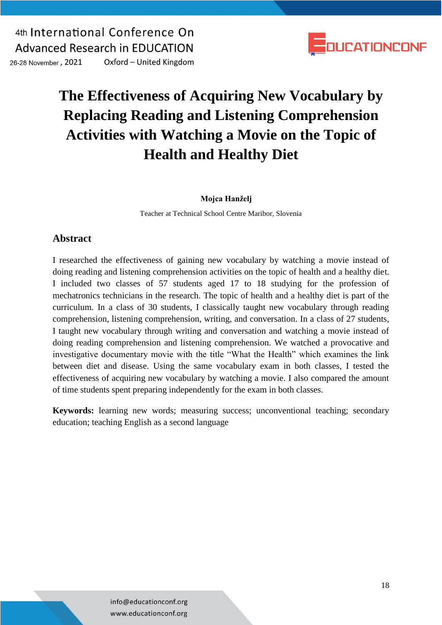4th International Conference On **Advanced Research in EDUCATION** 26-28 November, 2021 Oxford - United Kingdom



# **The Effectiveness of Acquiring New Vocabulary by Replacing Reading and Listening Comprehension Activities with Watching a Movie on the Topic of Health and Healthy Diet**

#### **Mojca Hanželj**

Teacher at Technical School Centre Maribor, Slovenia

### **Abstract**

I researched the effectiveness of gaining new vocabulary by watching a movie instead of doing reading and listening comprehension activities on the topic of health and a healthy diet. I included two classes of 57 students aged 17 to 18 studying for the profession of mechatronics technicians in the research. The topic of health and a healthy diet is part of the curriculum. In a class of 30 students, I classically taught new vocabulary through reading comprehension, listening comprehension, writing, and conversation. In a class of 27 students, I taught new vocabulary through writing and conversation and watching a movie instead of doing reading comprehension and listening comprehension. We watched a provocative and investigative documentary movie with the title "What the Health" which examines the link between diet and disease. Using the same vocabulary exam in both classes, I tested the effectiveness of acquiring new vocabulary by watching a movie. I also compared the amount of time students spent preparing independently for the exam in both classes.

**Keywords:** learning new words; measuring success; unconventional teaching; secondary education; teaching English as a second language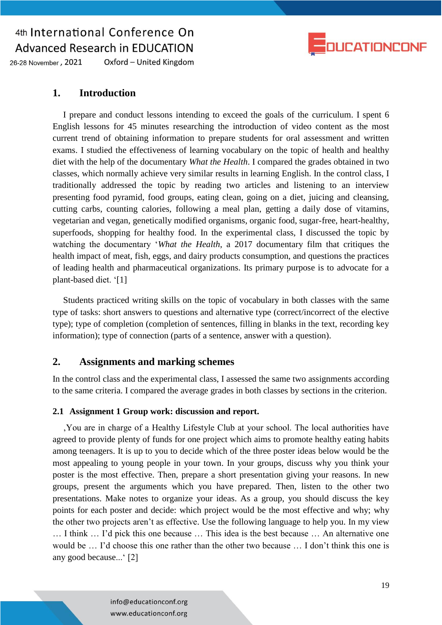

26-28 November, 2021 Oxford - United Kingdom

#### **1. Introduction**

I prepare and conduct lessons intending to exceed the goals of the curriculum. I spent 6 English lessons for 45 minutes researching the introduction of video content as the most current trend of obtaining information to prepare students for oral assessment and written exams. I studied the effectiveness of learning vocabulary on the topic of health and healthy diet with the help of the documentary *What the Health*. I compared the grades obtained in two classes, which normally achieve very similar results in learning English. In the control class, I traditionally addressed the topic by reading two articles and listening to an interview presenting food pyramid, food groups, eating clean, going on a diet, juicing and cleansing, cutting carbs, counting calories, following a meal plan, getting a daily dose of vitamins, vegetarian and vegan, genetically modified organisms, organic food, sugar-free, heart-healthy, superfoods, shopping for healthy food. In the experimental class, I discussed the topic by watching the documentary '*What the Health*, a 2017 documentary film that critiques the health impact of meat, fish, eggs, and dairy products consumption, and questions the practices of leading health and pharmaceutical organizations. Its primary purpose is to advocate for a plant-based diet. '[1]

Students practiced writing skills on the topic of vocabulary in both classes with the same type of tasks: short answers to questions and alternative type (correct/incorrect of the elective type); type of completion (completion of sentences, filling in blanks in the text, recording key information); type of connection (parts of a sentence, answer with a question).

### **2. Assignments and marking schemes**

In the control class and the experimental class, I assessed the same two assignments according to the same criteria. I compared the average grades in both classes by sections in the criterion.

#### **2.1 Assignment 1 Group work: discussion and report.**

'You are in charge of a Healthy Lifestyle Club at your school. The local authorities have agreed to provide plenty of funds for one project which aims to promote healthy eating habits among teenagers. It is up to you to decide which of the three poster ideas below would be the most appealing to young people in your town. In your groups, discuss why you think your poster is the most effective. Then, prepare a short presentation giving your reasons. In new groups, present the arguments which you have prepared. Then, listen to the other two presentations. Make notes to organize your ideas. As a group, you should discuss the key points for each poster and decide: which project would be the most effective and why; why the other two projects aren't as effective. Use the following language to help you. In my view … I think … I'd pick this one because … This idea is the best because … An alternative one would be … I'd choose this one rather than the other two because … I don't think this one is any good because...' [2]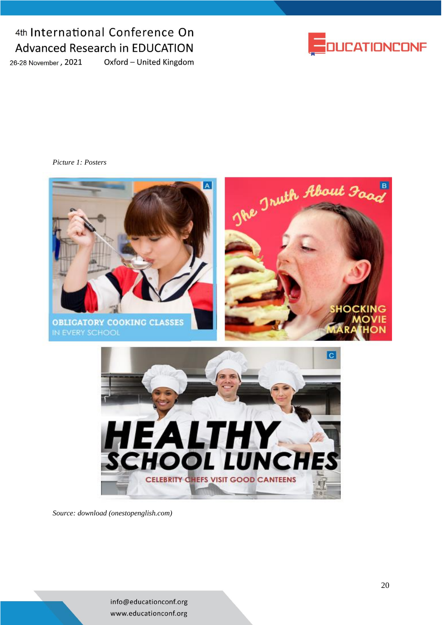26-28 November, 2021

Oxford - United Kingdom



*Picture 1: Posters*



*Source[: download \(onestopenglish.com\)](https://www.onestopenglish.com/download?ac=12206)*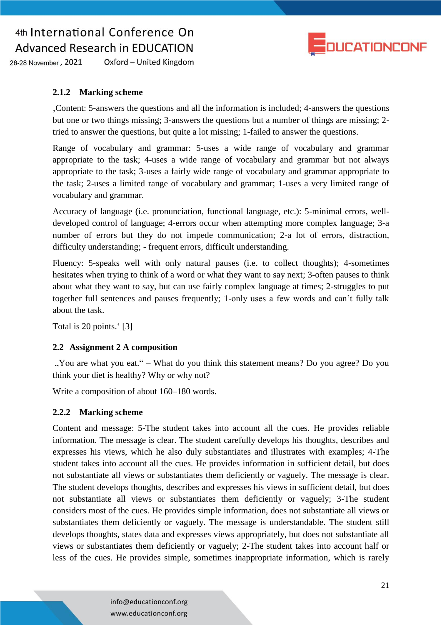

26-28 November, 2021 Oxford - United Kingdom

#### **2.1.2 Marking scheme**

'Content: 5-answers the questions and all the information is included; 4-answers the questions but one or two things missing; 3-answers the questions but a number of things are missing; 2 tried to answer the questions, but quite a lot missing; 1-failed to answer the questions.

Range of vocabulary and grammar: 5-uses a wide range of vocabulary and grammar appropriate to the task; 4-uses a wide range of vocabulary and grammar but not always appropriate to the task; 3-uses a fairly wide range of vocabulary and grammar appropriate to the task; 2-uses a limited range of vocabulary and grammar; 1-uses a very limited range of vocabulary and grammar.

Accuracy of language (i.e. pronunciation, functional language, etc.): 5-minimal errors, welldeveloped control of language; 4-errors occur when attempting more complex language; 3-a number of errors but they do not impede communication; 2-a lot of errors, distraction, difficulty understanding; - frequent errors, difficult understanding.

Fluency: 5-speaks well with only natural pauses (i.e. to collect thoughts); 4-sometimes hesitates when trying to think of a word or what they want to say next; 3-often pauses to think about what they want to say, but can use fairly complex language at times; 2-struggles to put together full sentences and pauses frequently; 1-only uses a few words and can't fully talk about the task.

Total is 20 points.' [3]

#### **2.2 Assignment 2 A composition**

", You are what you eat." – What do you think this statement means? Do you agree? Do you think your diet is healthy? Why or why not?

Write a composition of about 160–180 words.

#### **2.2.2 Marking scheme**

Content and message: 5-The student takes into account all the cues. He provides reliable information. The message is clear. The student carefully develops his thoughts, describes and expresses his views, which he also duly substantiates and illustrates with examples; 4-The student takes into account all the cues. He provides information in sufficient detail, but does not substantiate all views or substantiates them deficiently or vaguely. The message is clear. The student develops thoughts, describes and expresses his views in sufficient detail, but does not substantiate all views or substantiates them deficiently or vaguely; 3-The student considers most of the cues. He provides simple information, does not substantiate all views or substantiates them deficiently or vaguely. The message is understandable. The student still develops thoughts, states data and expresses views appropriately, but does not substantiate all views or substantiates them deficiently or vaguely; 2-The student takes into account half or less of the cues. He provides simple, sometimes inappropriate information, which is rarely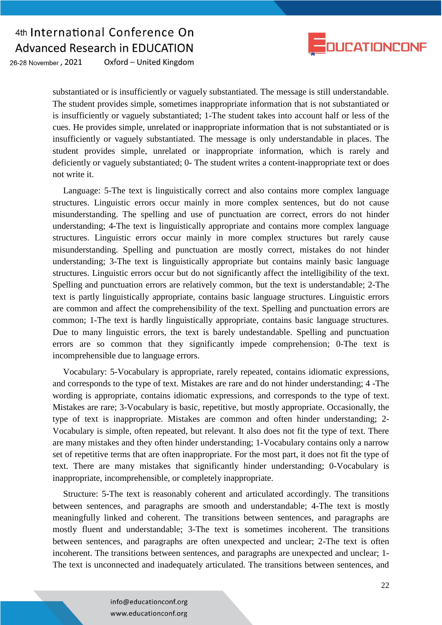

26-28 November, 2021 Oxford - United Kingdom

> substantiated or is insufficiently or vaguely substantiated. The message is still understandable. The student provides simple, sometimes inappropriate information that is not substantiated or is insufficiently or vaguely substantiated; 1-The student takes into account half or less of the cues. He provides simple, unrelated or inappropriate information that is not substantiated or is insufficiently or vaguely substantiated. The message is only understandable in places. The student provides simple, unrelated or inappropriate information, which is rarely and deficiently or vaguely substantiated; 0- The student writes a content-inappropriate text or does not write it.

> Language: 5-The text is linguistically correct and also contains more complex language structures. Linguistic errors occur mainly in more complex sentences, but do not cause misunderstanding. The spelling and use of punctuation are correct, errors do not hinder understanding; 4-The text is linguistically appropriate and contains more complex language structures. Linguistic errors occur mainly in more complex structures but rarely cause misunderstanding. Spelling and punctuation are mostly correct, mistakes do not hinder understanding; 3-The text is linguistically appropriate but contains mainly basic language structures. Linguistic errors occur but do not significantly affect the intelligibility of the text. Spelling and punctuation errors are relatively common, but the text is understandable; 2-The text is partly linguistically appropriate, contains basic language structures. Linguistic errors are common and affect the comprehensibility of the text. Spelling and punctuation errors are common; 1-The text is hardly linguistically appropriate, contains basic language structures. Due to many linguistic errors, the text is barely undestandable. Spelling and punctuation errors are so common that they significantly impede comprehension; 0-The text is incomprehensible due to language errors.

> Vocabulary: 5-Vocabulary is appropriate, rarely repeated, contains idiomatic expressions, and corresponds to the type of text. Mistakes are rare and do not hinder understanding; 4 -The wording is appropriate, contains idiomatic expressions, and corresponds to the type of text. Mistakes are rare; 3-Vocabulary is basic, repetitive, but mostly appropriate. Occasionally, the type of text is inappropriate. Mistakes are common and often hinder understanding; 2- Vocabulary is simple, often repeated, but relevant. It also does not fit the type of text. There are many mistakes and they often hinder understanding; 1-Vocabulary contains only a narrow set of repetitive terms that are often inappropriate. For the most part, it does not fit the type of text. There are many mistakes that significantly hinder understanding; 0-Vocabulary is inappropriate, incomprehensible, or completely inappropriate.

> Structure: 5-The text is reasonably coherent and articulated accordingly. The transitions between sentences, and paragraphs are smooth and understandable; 4-The text is mostly meaningfully linked and coherent. The transitions between sentences, and paragraphs are mostly fluent and understandable; 3-The text is sometimes incoherent. The transitions between sentences, and paragraphs are often unexpected and unclear; 2-The text is often incoherent. The transitions between sentences, and paragraphs are unexpected and unclear; 1- The text is unconnected and inadequately articulated. The transitions between sentences, and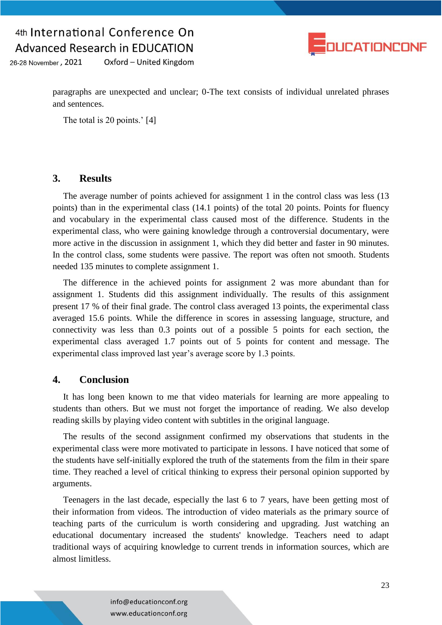

26-28 November, 2021 Oxford - United Kingdom

> paragraphs are unexpected and unclear; 0-The text consists of individual unrelated phrases and sentences.

The total is 20 points.' [4]

#### **3. Results**

The average number of points achieved for assignment 1 in the control class was less (13) points) than in the experimental class (14.1 points) of the total 20 points. Points for fluency and vocabulary in the experimental class caused most of the difference. Students in the experimental class, who were gaining knowledge through a controversial documentary, were more active in the discussion in assignment 1, which they did better and faster in 90 minutes. In the control class, some students were passive. The report was often not smooth. Students needed 135 minutes to complete assignment 1.

The difference in the achieved points for assignment 2 was more abundant than for assignment 1. Students did this assignment individually. The results of this assignment present 17 % of their final grade. The control class averaged 13 points, the experimental class averaged 15.6 points. While the difference in scores in assessing language, structure, and connectivity was less than 0.3 points out of a possible 5 points for each section, the experimental class averaged 1.7 points out of 5 points for content and message. The experimental class improved last year's average score by 1.3 points.

### **4. Conclusion**

It has long been known to me that video materials for learning are more appealing to students than others. But we must not forget the importance of reading. We also develop reading skills by playing video content with subtitles in the original language.

The results of the second assignment confirmed my observations that students in the experimental class were more motivated to participate in lessons. I have noticed that some of the students have self-initially explored the truth of the statements from the film in their spare time. They reached a level of critical thinking to express their personal opinion supported by arguments.

Teenagers in the last decade, especially the last 6 to 7 years, have been getting most of their information from videos. The introduction of video materials as the primary source of teaching parts of the curriculum is worth considering and upgrading. Just watching an educational documentary increased the students' knowledge. Teachers need to adapt traditional ways of acquiring knowledge to current trends in information sources, which are almost limitless.